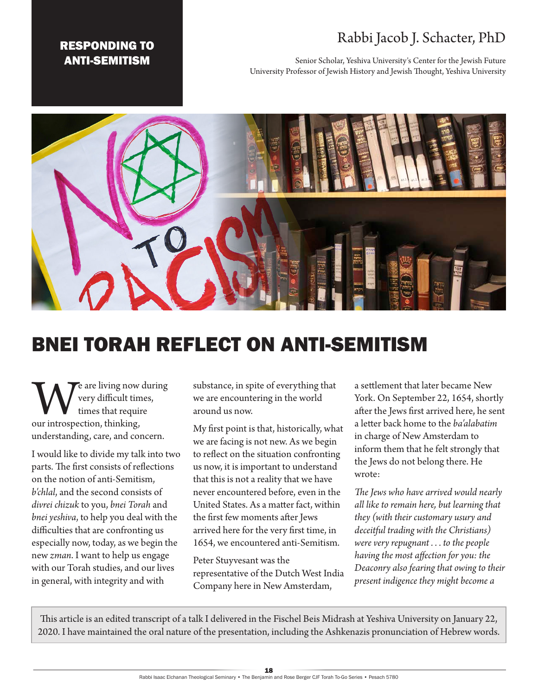# Rabbi Jacob J. Schacter, PhD

Senior Scholar, Yeshiva University's Center for the Jewish Future University Professor of Jewish History and Jewish Thought, Yeshiva University





# BNEI TORAH REFLECT ON ANTI-SEMITISM

We are living now during<br>
very difficult times,<br>
our introspection, thinking, very difficult times, times that require understanding, care, and concern.

I would like to divide my talk into two parts. The first consists of reflections on the notion of anti-Semitism, *b'chlal*, and the second consists of *divrei chizuk* to you, *bnei Torah* and *bnei yeshiva*, to help you deal with the difficulties that are confronting us especially now, today, as we begin the new *zman*. I want to help us engage with our Torah studies, and our lives in general, with integrity and with

substance, in spite of everything that we are encountering in the world around us now.

My first point is that, historically, what we are facing is not new. As we begin to reflect on the situation confronting us now, it is important to understand that this is not a reality that we have never encountered before, even in the United States. As a matter fact, within the first few moments after Jews arrived here for the very first time, in 1654, we encountered anti-Semitism.

Peter Stuyvesant was the representative of the Dutch West India Company here in New Amsterdam,

a settlement that later became New York. On September 22, 1654, shortly after the Jews first arrived here, he sent a letter back home to the *ba'alabatim* in charge of New Amsterdam to inform them that he felt strongly that the Jews do not belong there. He wrote:

*The Jews who have arrived would nearly all like to remain here, but learning that they (with their customary usury and deceitful trading with the Christians) were very repugnant . . . to the people having the most affection for you: the Deaconry also fearing that owing to their present indigence they might become a* 

This article is an edited transcript of a talk I delivered in the Fischel Beis Midrash at Yeshiva University on January 22, 2020. I have maintained the oral nature of the presentation, including the Ashkenazis pronunciation of Hebrew words.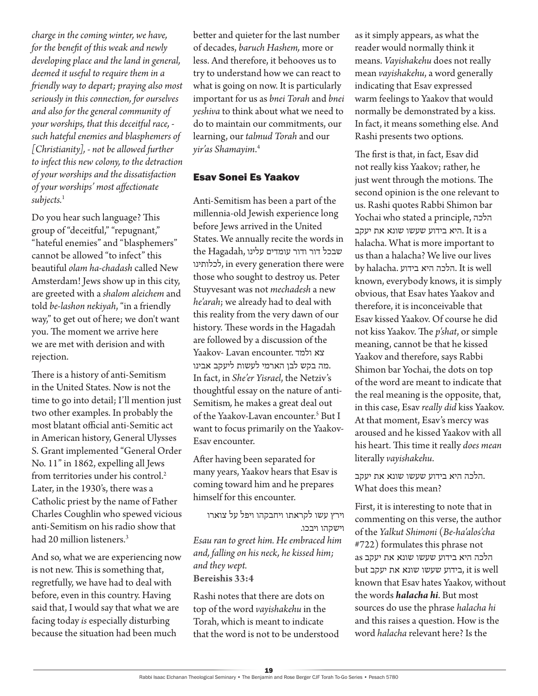*charge in the coming winter, we have, for the benefit of this weak and newly developing place and the land in general, deemed it useful to require them in a friendly way to depart; praying also most seriously in this connection, for ourselves and also for the general community of your worships, that this deceitful race, such hateful enemies and blasphemers of [Christianity], - not be allowed further to infect this new colony, to the detraction of your worships and the dissatisfaction of your worships' most affectionate*  subjects.<sup>1</sup>

Do you hear such language? This group of "deceitful," "repugnant," "hateful enemies" and "blasphemers" cannot be allowed "to infect" this beautiful *olam ha-chadash* called New Amsterdam! Jews show up in this city, are greeted with a *shalom aleichem* and told *be-lashon nekiyah*, "in a friendly way," to get out of here; we don't want you. The moment we arrive here we are met with derision and with rejection.

There is a history of anti-Semitism in the United States. Now is not the time to go into detail; I'll mention just two other examples. In probably the most blatant official anti-Semitic act in American history, General Ulysses S. Grant implemented "General Order No. 11" in 1862, expelling all Jews from territories under his control.<sup>2</sup> Later, in the 1930's, there was a Catholic priest by the name of Father Charles Coughlin who spewed vicious anti-Semitism on his radio show that had 20 million listeners.<sup>3</sup>

And so, what we are experiencing now is not new. This is something that, regretfully, we have had to deal with before, even in this country. Having said that, I would say that what we are facing today *is* especially disturbing because the situation had been much

better and quieter for the last number of decades, *baruch Hashem,* more or less. And therefore, it behooves us to try to understand how we can react to what is going on now. It is particularly important for us as *bnei Torah* and *bnei yeshiva* to think about what we need to do to maintain our commitments, our learning, our *talmud Torah* and our *yir'as Shamayim*. 4

#### Esav Sonei Es Yaakov

Anti-Semitism has been a part of the millennia-old Jewish experience long before Jews arrived in the United States. We annually recite the words in שבכל דור ודור עומדים עלינו ,Hagadah the לכלותינו, in every generation there were those who sought to destroy us. Peter Stuyvesant was not *mechadesh* a new *he'arah*; we already had to deal with this reality from the very dawn of our history. These words in the Hagadah are followed by a discussion of the Yaakov- Lavan encounter. ולמד צא .מה בקש לבן הארמי לעשות ליעקב אבינו In fact, in *She'er Yisrael*, the Netziv's thoughtful essay on the nature of anti-Semitism*,* he makes a great deal out of the Yaakov-Lavan encounter.<sup>5</sup> But I want to focus primarily on the Yaakov-Esav encounter.

After having been separated for many years, Yaakov hears that Esav is coming toward him and he prepares himself for this encounter.

וירץ עשו לקראתו ויחבקהו ויפל על צוארו וישקהו ויבכו.

*Esau ran to greet him. He embraced him and, falling on his neck, he kissed him; and they wept.* **Bereishis 33:4**

Rashi notes that there are dots on top of the word *vayishakehu* in the Torah, which is meant to indicate that the word is not to be understood as it simply appears, as what the reader would normally think it means. *Vayishakehu* does not really mean *vayishakehu*, a word generally indicating that Esav expressed warm feelings to Yaakov that would normally be demonstrated by a kiss. In fact, it means something else. And Rashi presents two options.

The first is that, in fact, Esav did not really kiss Yaakov; rather, he just went through the motions. The second opinion is the one relevant to us. Rashi quotes Rabbi Shimon bar Yochai who stated a principle, הלכה היא בידוע שעשו שונא את יעקב. It is a halacha. What is more important to us than a halacha? We live our lives by halacha. בידוע היא הלכה. It is well known, everybody knows, it is simply obvious, that Esav hates Yaakov and therefore, it is inconceivable that Esav kissed Yaakov. Of course he did not kiss Yaakov. The *p'shat*, or simple meaning, cannot be that he kissed Yaakov and therefore, says Rabbi Shimon bar Yochai, the dots on top of the word are meant to indicate that the real meaning is the opposite, that, in this case, Esav *really did* kiss Yaakov. At that moment, Esav's mercy was aroused and he kissed Yaakov with all his heart. This time it really *does mean* literally *vayishakehu*.

 .הלכה היא בידוע שעשו שונא את יעקב What does this mean?

First, it is interesting to note that in commenting on this verse, the author of the *Yalkut Shimoni* (*Be-ha'alos'cha* #722) formulates this phrase not הלכה היא בידוע שעשו שונא את יעקב as well is it ,בידוע שעשו שונא את יעקב but known that Esav hates Yaakov, without the words *halacha hi*. But most sources do use the phrase *halacha hi* and this raises a question. How is the word *halacha* relevant here? Is the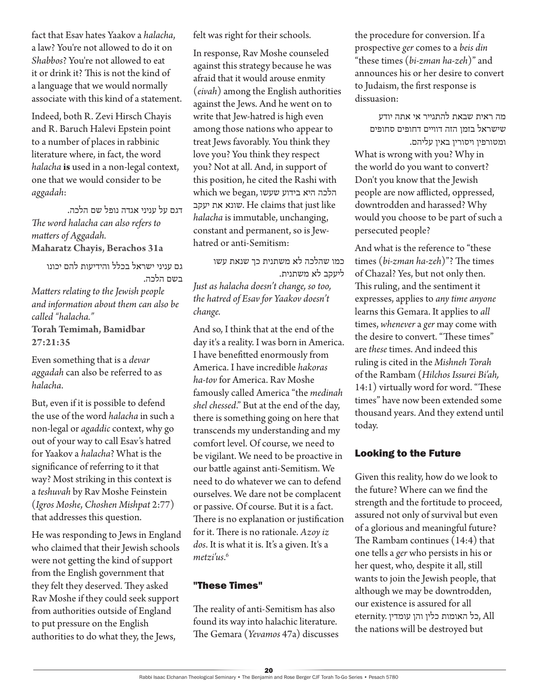fact that Esav hates Yaakov a *halacha*, a law? You're not allowed to do it on *Shabbos*? You're not allowed to eat it or drink it? This is not the kind of a language that we would normally associate with this kind of a statement.

Indeed, both R. Zevi Hirsch Chayis and R. Baruch Halevi Epstein point to a number of places in rabbinic literature where, in fact, the word *halacha* **is** used in a non-legal context, one that we would consider to be *aggadah*:

דגם על עניני אגדה נופל שם הלכה. *The word halacha can also refers to matters of Aggadah.* **Maharatz Chayis, Berachos 31a**

גם עניני ישראל בכלל והידיעות להם יכונו בשם הלכה. *Matters relating to the Jewish people and information about them can also be called "halacha."* **Torah Temimah, Bamidbar 27:21:35**

Even something that is a *devar aggadah* can also be referred to as *halacha*.

But, even if it is possible to defend the use of the word *halacha* in such a non-legal or *agaddic* context, why go out of your way to call Esav's hatred for Yaakov a *halacha*? What is the significance of referring to it that way? Most striking in this context is a *teshuvah* by Rav Moshe Feinstein (*Igros Moshe*, *Choshen Mishpat* 2:77) that addresses this question.

He was responding to Jews in England who claimed that their Jewish schools were not getting the kind of support from the English government that they felt they deserved. They asked Rav Moshe if they could seek support from authorities outside of England to put pressure on the English authorities to do what they, the Jews,

felt was right for their schools.

In response, Rav Moshe counseled against this strategy because he was afraid that it would arouse enmity (*eivah*) among the English authorities against the Jews. And he went on to write that Jew-hatred is high even among those nations who appear to treat Jews favorably. You think they love you? You think they respect you? Not at all. And, in support of this position, he cited the Rashi with הלכה היא בידוע שעשו ,began we which יעקב את שונא. He claims that just like *halacha* is immutable, unchanging, constant and permanent, so is Jewhatred or anti-Semitism:

כמו שהלכה לא משתנית כך שנאת עשו ליעקב לא משתנית.

*Just as halacha doesn't change, so too, the hatred of Esav for Yaakov doesn't change.*

And so, I think that at the end of the day it's a reality. I was born in America. I have benefitted enormously from America. I have incredible *hakoras ha-tov* for America. Rav Moshe famously called America "the *medinah shel chessed*." But at the end of the day, there is something going on here that transcends my understanding and my comfort level. Of course, we need to be vigilant. We need to be proactive in our battle against anti-Semitism. We need to do whatever we can to defend ourselves. We dare not be complacent or passive. Of course. But it is a fact. There is no explanation or justification for it. There is no rationale. *Azoy iz dos*. It is what it is. It's a given. It's a *metzi'us*. 6

### "These Times"

The reality of anti-Semitism has also found its way into halachic literature. The Gemara (*Yevamos* 47a) discusses the procedure for conversion. If a prospective *ger* comes to a *beis din* "these times (*bi-zman ha-zeh*)" and announces his or her desire to convert to Judaism, the first response is dissuasion:

מה ראית שבאת להתגייר אי אתה יודע שישראל בזמן הזה דוויים דחופים סחופים ומטורפין ויסורין באין עליהם. What is wrong with you? Why in the world do you want to convert? Don't you know that the Jewish people are now afflicted, oppressed, downtrodden and harassed? Why

would you choose to be part of such a

persecuted people?

And what is the reference to "these times (*bi-zman ha-zeh*)"? The times of Chazal? Yes, but not only then. This ruling, and the sentiment it expresses, applies to *any time anyone* learns this Gemara. It applies to *all*  times, *whenever* a *ger* may come with the desire to convert. "These times" are *these* times. And indeed this ruling is cited in the *Mishneh Torah* of the Rambam (*Hilchos Issurei Bi'ah,*  14:1) virtually word for word. "These times" have now been extended some thousand years. And they extend until today.

#### Looking to the Future

Given this reality, how do we look to the future? Where can we find the strength and the fortitude to proceed, assured not only of survival but even of a glorious and meaningful future? The Rambam continues (14:4) that one tells a *ger* who persists in his or her quest, who, despite it all, still wants to join the Jewish people, that although we may be downtrodden, our existence is assured for all All ,כל האומות כלין והן עומדין .eternity the nations will be destroyed but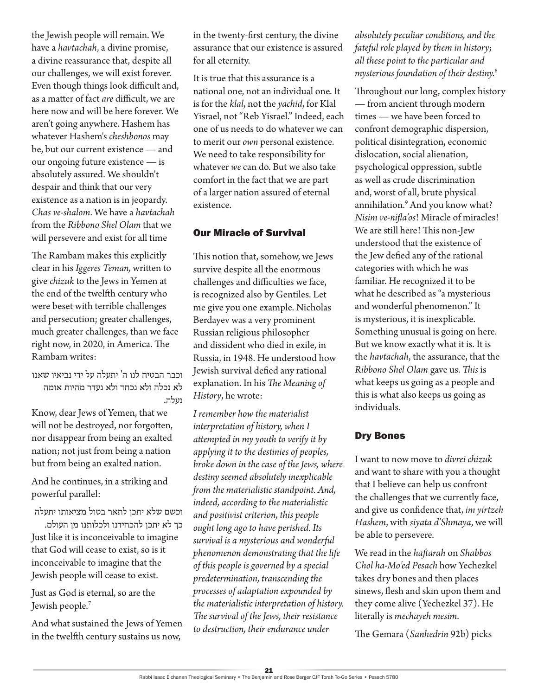the Jewish people will remain. We have a *havtachah*, a divine promise, a divine reassurance that, despite all our challenges, we will exist forever. Even though things look difficult and, as a matter of fact *are* difficult, we are here now and will be here forever. We aren't going anywhere. Hashem has whatever Hashem's *cheshbonos* may be, but our current existence — and our ongoing future existence — is absolutely assured. We shouldn't despair and think that our very existence as a nation is in jeopardy. *Chas ve-shalom*. We have a *havtachah* from the *Ribbono Shel Olam* that we will persevere and exist for all time

The Rambam makes this explicitly clear in his *Iggeres Teman,* written to give *chizuk* to the Jews in Yemen at the end of the twelfth century who were beset with terrible challenges and persecution; greater challenges, much greater challenges, than we face right now, in 2020, in America. The Rambam writes:

וכבר הבטיח לנו ה' יתעלה על ידי נביאיו שאנו לא נכלה ולא נכחד ולא נעדר מהיות אומה נעלה.

Know, dear Jews of Yemen, that we will not be destroyed, nor forgotten, nor disappear from being an exalted nation; not just from being a nation but from being an exalted nation.

And he continues, in a striking and powerful parallel:

וכשם שלא יתכן לתאר בטול מציאותו יתעלה

כך לא יתכן להכחידנו ולכלותנו מן העולם. Just like it is inconceivable to imagine that God will cease to exist, so is it inconceivable to imagine that the Jewish people will cease to exist.

Just as God is eternal, so are the Jewish people.7

And what sustained the Jews of Yemen in the twelfth century sustains us now,

in the twenty-first century, the divine assurance that our existence is assured for all eternity.

It is true that this assurance is a national one, not an individual one. It is for the *klal*, not the *yachid*, for Klal Yisrael, not "Reb Yisrael." Indeed, each one of us needs to do whatever we can to merit our *own* personal existence. We need to take responsibility for whatever *we* can do. But we also take comfort in the fact that we are part of a larger nation assured of eternal existence.

## Our Miracle of Survival

This notion that, somehow, we Jews survive despite all the enormous challenges and difficulties we face, is recognized also by Gentiles. Let me give you one example. Nicholas Berdayev was a very prominent Russian religious philosopher and dissident who died in exile, in Russia, in 1948. He understood how Jewish survival defied any rational explanation. In his *The Meaning of History*, he wrote:

*I remember how the materialist interpretation of history, when I attempted in my youth to verify it by applying it to the destinies of peoples, broke down in the case of the Jews, where destiny seemed absolutely inexplicable from the materialistic standpoint. And, indeed, according to the materialistic and positivist criterion, this people ought long ago to have perished. Its survival is a mysterious and wonderful phenomenon demonstrating that the life of this people is governed by a special predetermination, transcending the processes of adaptation expounded by the materialistic interpretation of history. The survival of the Jews, their resistance to destruction, their endurance under* 

*absolutely peculiar conditions, and the fateful role played by them in history; all these point to the particular and mysterious foundation of their destiny.*<sup>8</sup>

Throughout our long, complex history — from ancient through modern times — we have been forced to confront demographic dispersion, political disintegration, economic dislocation, social alienation, psychological oppression, subtle as well as crude discrimination and, worst of all, brute physical annihilation.9 And you know what? *Nisim ve-nifla'os*! Miracle of miracles! We are still here! This non-Jew understood that the existence of the Jew defied any of the rational categories with which he was familiar. He recognized it to be what he described as "a mysterious and wonderful phenomenon." It is mysterious, it is inexplicable. Something unusual is going on here. But we know exactly what it is. It is the *havtachah*, the assurance, that the *Ribbono Shel Olam* gave us. *This* is what keeps us going as a people and this is what also keeps us going as individuals.

# Dry Bones

I want to now move to *divrei chizuk* and want to share with you a thought that I believe can help us confront the challenges that we currently face, and give us confidence that, *im yirtzeh Hashem*, with *siyata d'Shmaya*, we will be able to persevere.

We read in the *haftarah* on *Shabbos Chol ha-Mo'ed Pesach* how Yechezkel takes dry bones and then places sinews, flesh and skin upon them and they come alive (Yechezkel 37). He literally is *mechayeh mesim*.

The Gemara (*Sanhedrin* 92b) picks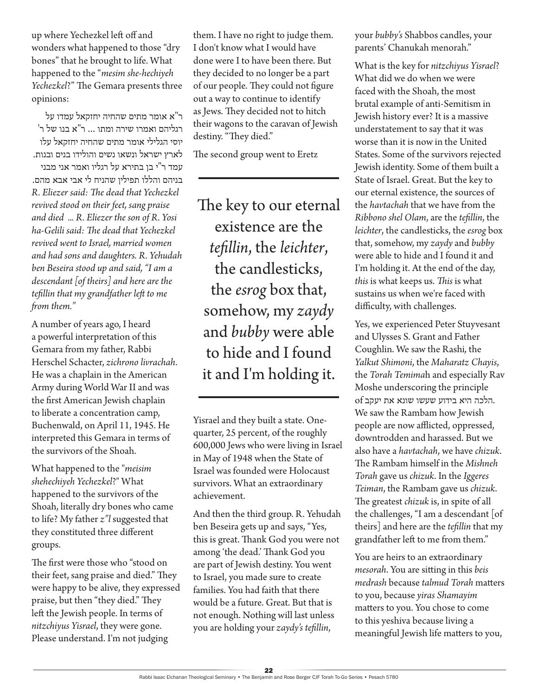up where Yechezkel left off and wonders what happened to those "dry bones" that he brought to life. What happened to the "*mesim she-hechiyeh Yechezkel*?" The Gemara presents three opinions:

ר"א אומר מתים שהחיה יחזקאל עמדו על רגליהם ואמרו שירה ומתו ... ר"א בנו של ר' יוסי הגלילי אומר מתים שהחיה יחזקאל עלו לארץ ישראל ונשאו נשים והולידו בנים ובנות. עמד ר"י בן בתירא על רגליו ואמר אני מבני בניהם והללו תפילין שהניח לי אבי אבא מהם. *R. Eliezer said: The dead that Yechezkel revived stood on their feet, sang praise and died ... R. Eliezer the son of R. Yosi ha-Gelili said: The dead that Yechezkel revived went to Israel, married women and had sons and daughters. R. Yehudah ben Beseira stood up and said, "I am a descendant [of theirs] and here are the tefillin that my grandfather left to me from them."* 

A number of years ago, I heard a powerful interpretation of this Gemara from my father, Rabbi Herschel Schacter, *zichrono livrachah*. He was a chaplain in the American Army during World War II and was the first American Jewish chaplain to liberate a concentration camp, Buchenwald, on April 11, 1945. He interpreted this Gemara in terms of the survivors of the Shoah.

What happened to the "*meisim shehechiyeh Yechezkel*?" What happened to the survivors of the Shoah, literally dry bones who came to life? My father *z"l* suggested that they constituted three different groups.

The first were those who "stood on their feet, sang praise and died." They were happy to be alive, they expressed praise, but then "they died." They left the Jewish people. In terms of *nitzchiyus Yisrael*, they were gone. Please understand. I'm not judging

them. I have no right to judge them. I don't know what I would have done were I to have been there. But they decided to no longer be a part of our people. They could not figure out a way to continue to identify as Jews. They decided not to hitch their wagons to the caravan of Jewish destiny. "They died."

The second group went to Eretz

The key to our eternal existence are the *tefillin*, the *leichter*, the candlesticks, the *esrog* box that, somehow, my *zaydy* and *bubby* were able to hide and I found it and I'm holding it.

Yisrael and they built a state. Onequarter, 25 percent, of the roughly 600,000 Jews who were living in Israel in May of 1948 when the State of Israel was founded were Holocaust survivors. What an extraordinary achievement.

And then the third group. R. Yehudah ben Beseira gets up and says, "Yes, this is great. Thank God you were not among 'the dead.' Thank God you are part of Jewish destiny. You went to Israel, you made sure to create families. You had faith that there would be a future. Great. But that is not enough. Nothing will last unless you are holding your *zaydy's tefillin*,

your *bubby's* Shabbos candles, your parents' Chanukah menorah."

What is the key for *nitzchiyus Yisrael*? What did we do when we were faced with the Shoah, the most brutal example of anti-Semitism in Jewish history ever? It is a massive understatement to say that it was worse than it is now in the United States. Some of the survivors rejected Jewish identity. Some of them built a State of Israel. Great. But the key to our eternal existence, the sources of the *havtachah* that we have from the *Ribbono shel Olam*, are the *tefillin*, the *leichter*, the candlesticks, the *esrog* box that, somehow, my *zaydy* and *bubby*  were able to hide and I found it and I'm holding it. At the end of the day, *this* is what keeps us. *This* is what sustains us when we're faced with difficulty, with challenges.

Yes, we experienced Peter Stuyvesant and Ulysses S. Grant and Father Coughlin. We saw the Rashi*,* the *Yalkut Shimoni*, the *Maharatz Chayis*, the *Torah Temima*h and especially Rav Moshe underscoring the principle .הלכה היא בידוע שעשו שונא את יעקב of We saw the Rambam how Jewish people are now afflicted, oppressed, downtrodden and harassed. But we also have a *havtachah*, we have *chizuk*. The Rambam himself in the *Mishneh Torah* gave us *chizuk*. In the *Iggeres Teiman*, the Rambam gave us *chizuk*. The greatest *chizuk* is, in spite of all the challenges, "I am a descendant [of theirs] and here are the *tefillin* that my grandfather left to me from them."

You are heirs to an extraordinary *mesorah*. You are sitting in this *beis medrash* because *talmud Torah* matters to you, because *yiras Shamayim* matters to you. You chose to come to this yeshiva because living a meaningful Jewish life matters to you,